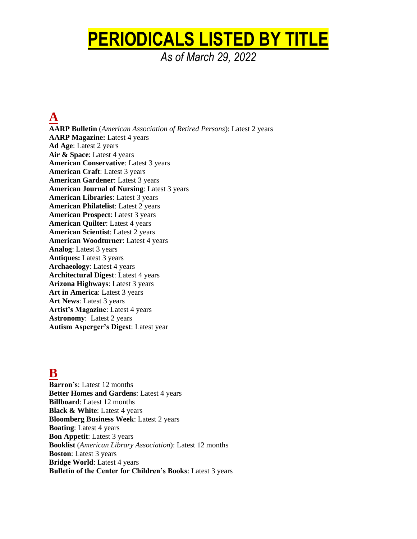# **PERIODICALS LISTED BY TITLE**

*As of March 29, 2022*

**A AARP Bulletin** (*American Association of Retired Persons*): Latest 2 years **AARP Magazine:** Latest 4 years **Ad Age**: Latest 2 years **Air & Space**: Latest 4 years **American Conservative**: Latest 3 years **American Craft**: Latest 3 years **American Gardener**: Latest 3 years **American Journal of Nursing**: Latest 3 years **American Libraries**: Latest 3 years **American Philatelist**: Latest 2 years **American Prospect**: Latest 3 years **American Quilter**: Latest 4 years **American Scientist**: Latest 2 years **American Woodturner**: Latest 4 years **Analog**: Latest 3 years **Antiques:** Latest 3 years **Archaeology**: Latest 4 years **Architectural Digest**: Latest 4 years **Arizona Highways**: Latest 3 years **Art in America**: Latest 3 years **Art News**: Latest 3 years **Artist's Magazine**: Latest 4 years **Astronomy**: Latest 2 years **Autism Asperger's Digest**: Latest year

## **B**

**Barron's**: Latest 12 months **Better Homes and Gardens**: Latest 4 years **Billboard**: Latest 12 months **Black & White**: Latest 4 years **Bloomberg Business Week**: Latest 2 years **Boating**: Latest 4 years **Bon Appetit**: Latest 3 years **Booklist** (*American Library Association*): Latest 12 months **Boston**: Latest 3 years **Bridge World**: Latest 4 years **Bulletin of the Center for Children's Books**: Latest 3 years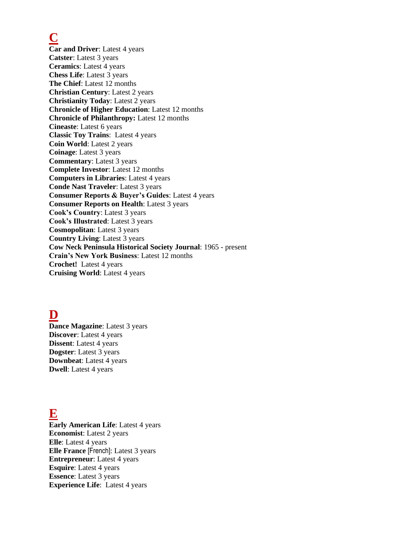**C**

**Car and Driver**: Latest 4 years **Catster**: Latest 3 years **Ceramics**: Latest 4 years **Chess Life**: Latest 3 years **The Chief**: Latest 12 months **Christian Century**: Latest 2 years **Christianity Today**: Latest 2 years **Chronicle of Higher Education**: Latest 12 months **Chronicle of Philanthropy:** Latest 12 months **Cineaste**: Latest 6 years **Classic Toy Trains**: Latest 4 years **Coin World**: Latest 2 years **Coinage**: Latest 3 years **Commentary**: Latest 3 years **Complete Investor**: Latest 12 months **Computers in Libraries**: Latest 4 years **Conde Nast Traveler**: Latest 3 years **Consumer Reports & Buyer's Guides**: Latest 4 years **Consumer Reports on Health**: Latest 3 years **Cook's Country**: Latest 3 years **Cook's Illustrated**: Latest 3 years **Cosmopolitan**: Latest 3 years **Country Living**: Latest 3 years **Cow Neck Peninsula Historical Society Journal**: 1965 - present **Crain's New York Business**: Latest 12 months **Crochet!** Latest 4 years **Cruising World**: Latest 4 years

## **D**

**Dance Magazine**: Latest 3 years **Discover**: Latest 4 years **Dissent**: Latest 4 years **Dogster**: Latest 3 years **Downbeat**: Latest 4 years **Dwell**: Latest 4 years

## **E**

**Early American Life**: Latest 4 years **Economist**: Latest 2 years **Elle**: Latest 4 years **Elle France** [French]: Latest 3 years **Entrepreneur**: Latest 4 years **Esquire**: Latest 4 years **Essence**: Latest 3 years **Experience Life**: Latest 4 years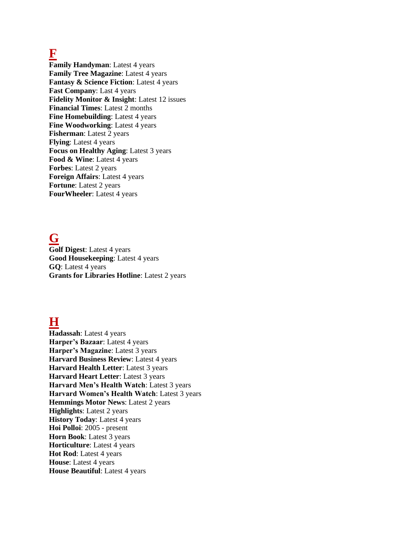#### **F**

**Family Handyman**: Latest 4 years **Family Tree Magazine**: Latest 4 years **Fantasy & Science Fiction:** Latest 4 years **Fast Company**: Last 4 years **Fidelity Monitor & Insight**: Latest 12 issues **Financial Times**: Latest 2 months **Fine Homebuilding**: Latest 4 years **Fine Woodworking**: Latest 4 years **Fisherman**: Latest 2 years **Flying**: Latest 4 years **Focus on Healthy Aging**: Latest 3 years Food & Wine: Latest 4 years **Forbes**: Latest 2 years **Foreign Affairs**: Latest 4 years **Fortune**: Latest 2 years **FourWheeler**: Latest 4 years

## **G**

**Golf Digest**: Latest 4 years **Good Housekeeping**: Latest 4 years **GQ**: Latest 4 years **Grants for Libraries Hotline**: Latest 2 years

## **H**

**Hadassah**: Latest 4 years **Harper's Bazaar**: Latest 4 years **Harper's Magazine**: Latest 3 years **Harvard Business Review**: Latest 4 years **Harvard Health Letter**: Latest 3 years **Harvard Heart Letter**: Latest 3 years **Harvard Men's Health Watch**: Latest 3 years **Harvard Women's Health Watch**: Latest 3 years **Hemmings Motor News**: Latest 2 years **Highlights**: Latest 2 years **History Today**: Latest 4 years **Hoi Polloi**: 2005 - present **Horn Book**: Latest 3 years **Horticulture**: Latest 4 years **Hot Rod**: Latest 4 years **House**: Latest 4 years **House Beautiful**: Latest 4 years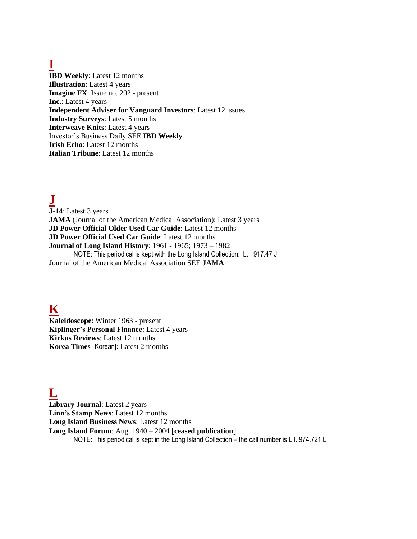## **I**

**IBD Weekly**: Latest 12 months **Illustration**: Latest 4 years **Imagine FX**: Issue no. 202 - present **Inc.**: Latest 4 years **Independent Adviser for Vanguard Investors**: Latest 12 issues **Industry Surveys**: Latest 5 months **Interweave Knits**: Latest 4 years Investor's Business Daily SEE **IBD Weekly Irish Echo**: Latest 12 months **Italian Tribune**: Latest 12 months

**J**

**J-14**: Latest 3 years **JAMA** (Journal of the American Medical Association): Latest 3 years **JD Power Official Older Used Car Guide**: Latest 12 months **JD Power Official Used Car Guide**: Latest 12 months **Journal of Long Island History**: 1961 - 1965; 1973 – 1982 NOTE: This periodical is kept with the Long Island Collection: L.I. 917.47 J Journal of the American Medical Association SEE **JAMA**

**K**

**Kaleidoscope**: Winter 1963 - present **Kiplinger's Personal Finance**: Latest 4 years **Kirkus Reviews**: Latest 12 months **Korea Times** [Korean]: Latest 2 months

## **L**

**Library Journal**: Latest 2 years **Linn's Stamp News**: Latest 12 months **Long Island Business News**: Latest 12 months **Long Island Forum**: Aug. 1940 – 2004 [**ceased publication**] NOTE: This periodical is kept in the Long Island Collection – the call number is L.I. 974.721 L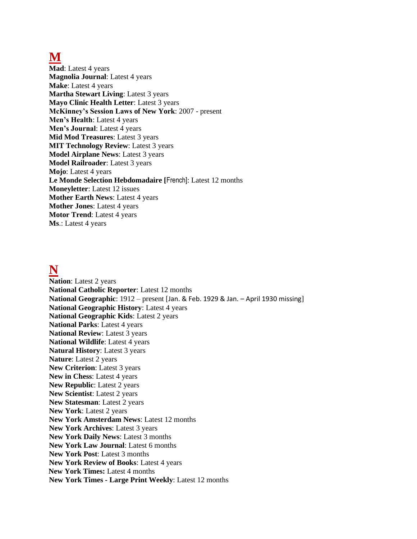### **M**

**Mad**: Latest 4 years **Magnolia Journal**: Latest 4 years **Make**: Latest 4 years **Martha Stewart Living**: Latest 3 years **Mayo Clinic Health Letter**: Latest 3 years **McKinney's Session Laws of New York**: 2007 - present **Men's Health**: Latest 4 years **Men's Journal**: Latest 4 years **Mid Mod Treasures**: Latest 3 years **MIT Technology Review**: Latest 3 years **Model Airplane News**: Latest 3 years **Model Railroader**: Latest 3 years **Mojo**: Latest 4 years **Le Monde Selection Hebdomadaire [**French]: Latest 12 months **Moneyletter**: Latest 12 issues **Mother Earth News**: Latest 4 years **Mother Jones**: Latest 4 years **Motor Trend**: Latest 4 years **Ms**.: Latest 4 years

#### **N**

**Nation**: Latest 2 years **National Catholic Reporter**: Latest 12 months **National Geographic**: 1912 – present [Jan. & Feb. 1929 & Jan. – April 1930 missing] **National Geographic History**: Latest 4 years **National Geographic Kids**: Latest 2 years **National Parks**: Latest 4 years **National Review**: Latest 3 years **National Wildlife**: Latest 4 years **Natural History**: Latest 3 years **Nature**: Latest 2 years **New Criterion**: Latest 3 years **New in Chess**: Latest 4 years **New Republic**: Latest 2 years **New Scientist**: Latest 2 years **New Statesman**: Latest 2 years **New York**: Latest 2 years **New York Amsterdam News**: Latest 12 months **New York Archives**: Latest 3 years **New York Daily News**: Latest 3 months **New York Law Journal**: Latest 6 months **New York Post**: Latest 3 months **New York Review of Books**: Latest 4 years  **New York Times:** Latest 4 months **New York Times - Large Print Weekly**: Latest 12 months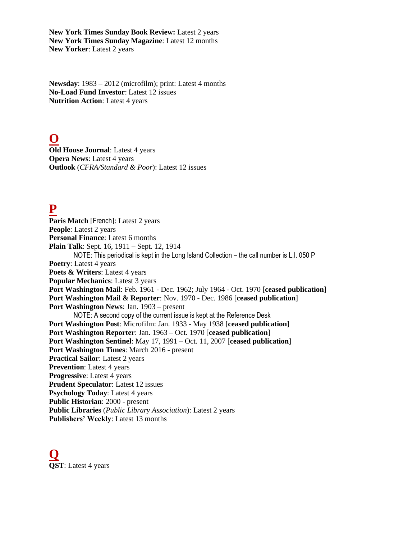**New York Times Sunday Book Review:** Latest 2 years **New York Times Sunday Magazine**: Latest 12 months **New Yorker**: Latest 2 years

**Newsday**: 1983 – 2012 (microfilm); print: Latest 4 months **No-Load Fund Investor**: Latest 12 issues **Nutrition Action**: Latest 4 years

## **O**

**Old House Journal**: Latest 4 years **Opera News**: Latest 4 years **Outlook** (*CFRA/Standard & Poor*): Latest 12 issues

## **P**

**Paris Match** [French]: Latest 2 years **People**: Latest 2 years **Personal Finance**: Latest 6 months **Plain Talk**: Sept. 16, 1911 – Sept. 12, 1914 NOTE: This periodical is kept in the Long Island Collection – the call number is L.I. 050 P **Poetry**: Latest 4 years **Poets & Writers**: Latest 4 years **Popular Mechanics**: Latest 3 years **Port Washington Mail**: Feb. 1961 - Dec. 1962; July 1964 - Oct. 1970 [**ceased publication**] **Port Washington Mail & Reporter**: Nov. 1970 - Dec. 1986 [**ceased publication**] **Port Washington News**: Jan. 1903 – present NOTE: A second copy of the current issue is kept at the Reference Desk **Port Washington Post**: Microfilm: Jan. 1933 - May 1938 [**ceased publication] Port Washington Reporter**: Jan. 1963 – Oct. 1970 [**ceased publication**] **Port Washington Sentinel**: May 17, 1991 – Oct. 11, 2007 [**ceased publication**] **Port Washington Times**: March 2016 - present **Practical Sailor**: Latest 2 years **Prevention**: Latest 4 years **Progressive**: Latest 4 years **Prudent Speculator**: Latest 12 issues **Psychology Today**: Latest 4 years **Public Historian**: 2000 - present **Public Libraries** (*Public Library Association*): Latest 2 years **Publishers' Weekly**: Latest 13 months

**Q QST**: Latest 4 years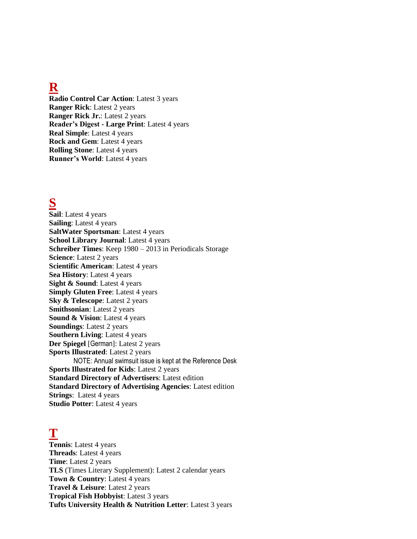#### **R**

**Radio Control Car Action**: Latest 3 years **Ranger Rick**: Latest 2 years **Ranger Rick Jr.**: Latest 2 years **Reader's Digest - Large Print**: Latest 4 years **Real Simple**: Latest 4 years **Rock and Gem**: Latest 4 years **Rolling Stone**: Latest 4 years **Runner's World**: Latest 4 years

#### **S**

**Sail**: Latest 4 years **Sailing**: Latest 4 years **SaltWater Sportsman**: Latest 4 years **School Library Journal**: Latest 4 years **Schreiber Times**: Keep 1980 – 2013 in Periodicals Storage **Science**: Latest 2 years **Scientific American**: Latest 4 years **Sea History**: Latest 4 years **Sight & Sound:** Latest 4 years **Simply Gluten Free:** Latest 4 years **Sky & Telescope**: Latest 2 years **Smithsonian**: Latest 2 years **Sound & Vision**: Latest 4 years **Soundings**: Latest 2 years **Southern Living:** Latest 4 years **Der Spiegel** [German]: Latest 2 years **Sports Illustrated**: Latest 2 years NOTE: Annual swimsuit issue is kept at the Reference Desk **Sports Illustrated for Kids**: Latest 2 years **Standard Directory of Advertisers**: Latest edition **Standard Directory of Advertising Agencies**: Latest edition **Strings**: Latest 4 years **Studio Potter**: Latest 4 years

#### **T**

**Tennis**: Latest 4 years **Threads**: Latest 4 years **Time**: Latest 2 years **TLS** (Times Literary Supplement): Latest 2 calendar years **Town & Country**: Latest 4 years **Travel & Leisure**: Latest 2 years **Tropical Fish Hobbyist**: Latest 3 years **Tufts University Health & Nutrition Letter**: Latest 3 years